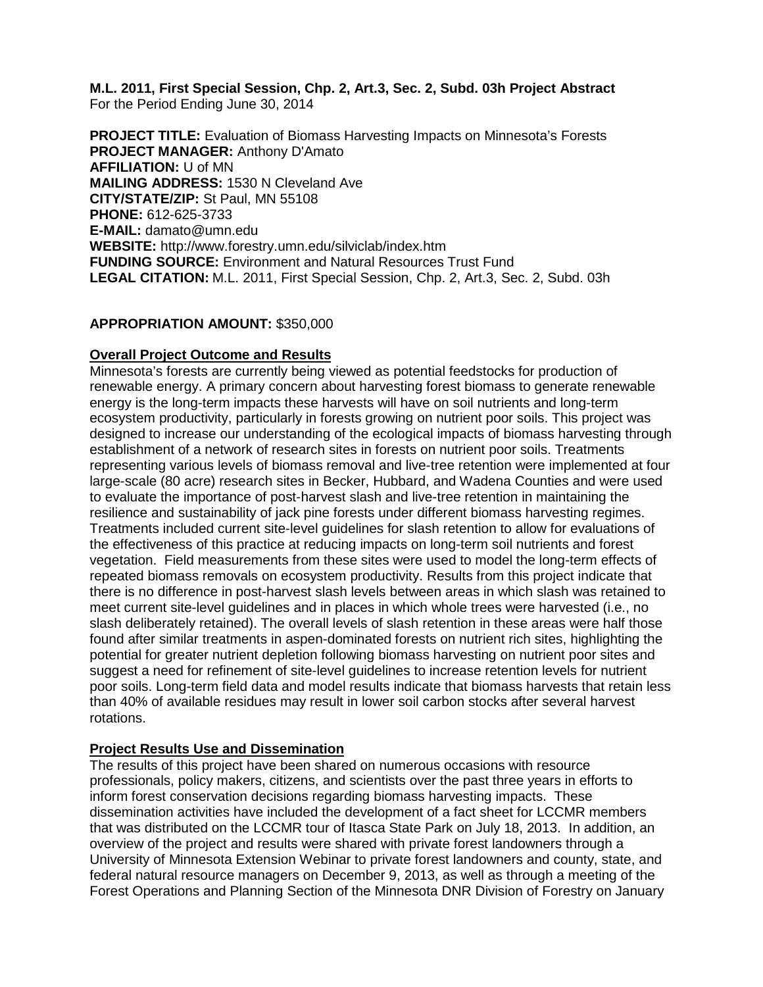**M.L. 2011, First Special Session, Chp. 2, Art.3, Sec. 2, Subd. 03h Project Abstract** For the Period Ending June 30, 2014

**PROJECT TITLE:** Evaluation of Biomass Harvesting Impacts on Minnesota's Forests **PROJECT MANAGER:** Anthony D'Amato **AFFILIATION:** U of MN **MAILING ADDRESS:** 1530 N Cleveland Ave **CITY/STATE/ZIP:** St Paul, MN 55108 **PHONE:** 612-625-3733 **E-MAIL:** damato@umn.edu **WEBSITE:** http://www.forestry.umn.edu/silviclab/index.htm **FUNDING SOURCE:** Environment and Natural Resources Trust Fund **LEGAL CITATION:** M.L. 2011, First Special Session, Chp. 2, Art.3, Sec. 2, Subd. 03h

#### **APPROPRIATION AMOUNT:** \$350,000

#### **Overall Project Outcome and Results**

Minnesota's forests are currently being viewed as potential feedstocks for production of renewable energy. A primary concern about harvesting forest biomass to generate renewable energy is the long-term impacts these harvests will have on soil nutrients and long-term ecosystem productivity, particularly in forests growing on nutrient poor soils. This project was designed to increase our understanding of the ecological impacts of biomass harvesting through establishment of a network of research sites in forests on nutrient poor soils. Treatments representing various levels of biomass removal and live-tree retention were implemented at four large-scale (80 acre) research sites in Becker, Hubbard, and Wadena Counties and were used to evaluate the importance of post-harvest slash and live-tree retention in maintaining the resilience and sustainability of jack pine forests under different biomass harvesting regimes. Treatments included current site-level guidelines for slash retention to allow for evaluations of the effectiveness of this practice at reducing impacts on long-term soil nutrients and forest vegetation. Field measurements from these sites were used to model the long-term effects of repeated biomass removals on ecosystem productivity. Results from this project indicate that there is no difference in post-harvest slash levels between areas in which slash was retained to meet current site-level guidelines and in places in which whole trees were harvested (i.e., no slash deliberately retained). The overall levels of slash retention in these areas were half those found after similar treatments in aspen-dominated forests on nutrient rich sites, highlighting the potential for greater nutrient depletion following biomass harvesting on nutrient poor sites and suggest a need for refinement of site-level guidelines to increase retention levels for nutrient poor soils. Long-term field data and model results indicate that biomass harvests that retain less than 40% of available residues may result in lower soil carbon stocks after several harvest rotations.

### **Project Results Use and Dissemination**

The results of this project have been shared on numerous occasions with resource professionals, policy makers, citizens, and scientists over the past three years in efforts to inform forest conservation decisions regarding biomass harvesting impacts. These dissemination activities have included the development of a fact sheet for LCCMR members that was distributed on the LCCMR tour of Itasca State Park on July 18, 2013. In addition, an overview of the project and results were shared with private forest landowners through a University of Minnesota Extension Webinar to private forest landowners and county, state, and federal natural resource managers on December 9, 2013, as well as through a meeting of the Forest Operations and Planning Section of the Minnesota DNR Division of Forestry on January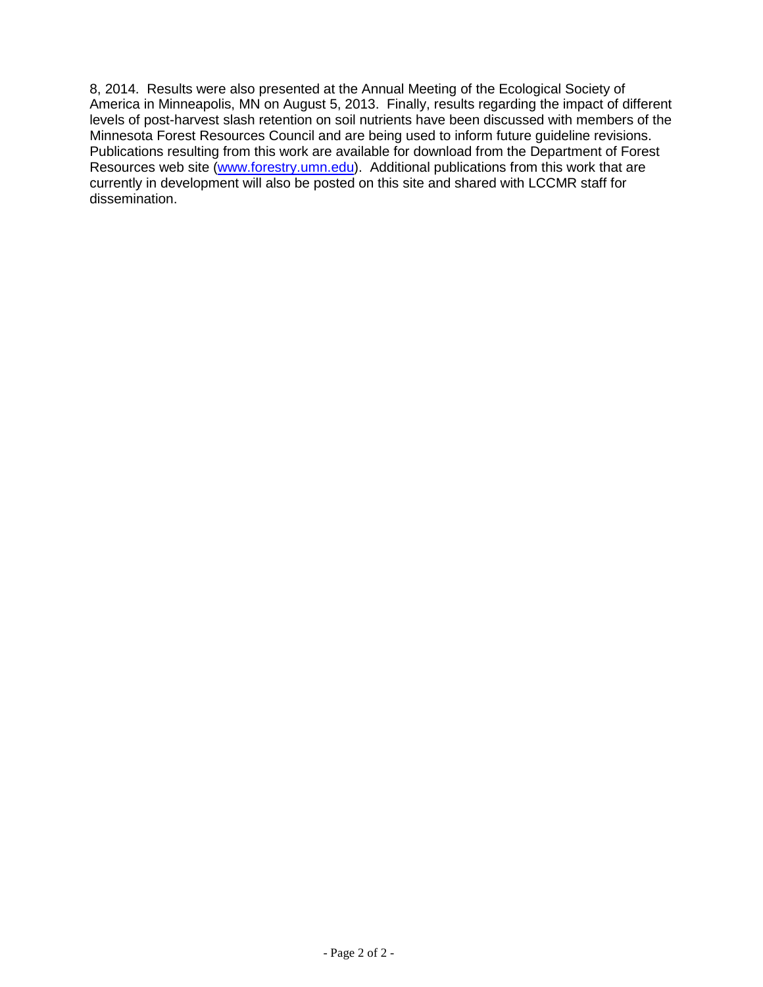8, 2014. Results were also presented at the Annual Meeting of the Ecological Society of America in Minneapolis, MN on August 5, 2013. Finally, results regarding the impact of different levels of post-harvest slash retention on soil nutrients have been discussed with members of the Minnesota Forest Resources Council and are being used to inform future guideline revisions. Publications resulting from this work are available for download from the Department of Forest Resources web site [\(www.forestry.umn.edu\)](http://www.forestry.umn.edu/). Additional publications from this work that are currently in development will also be posted on this site and shared with LCCMR staff for dissemination.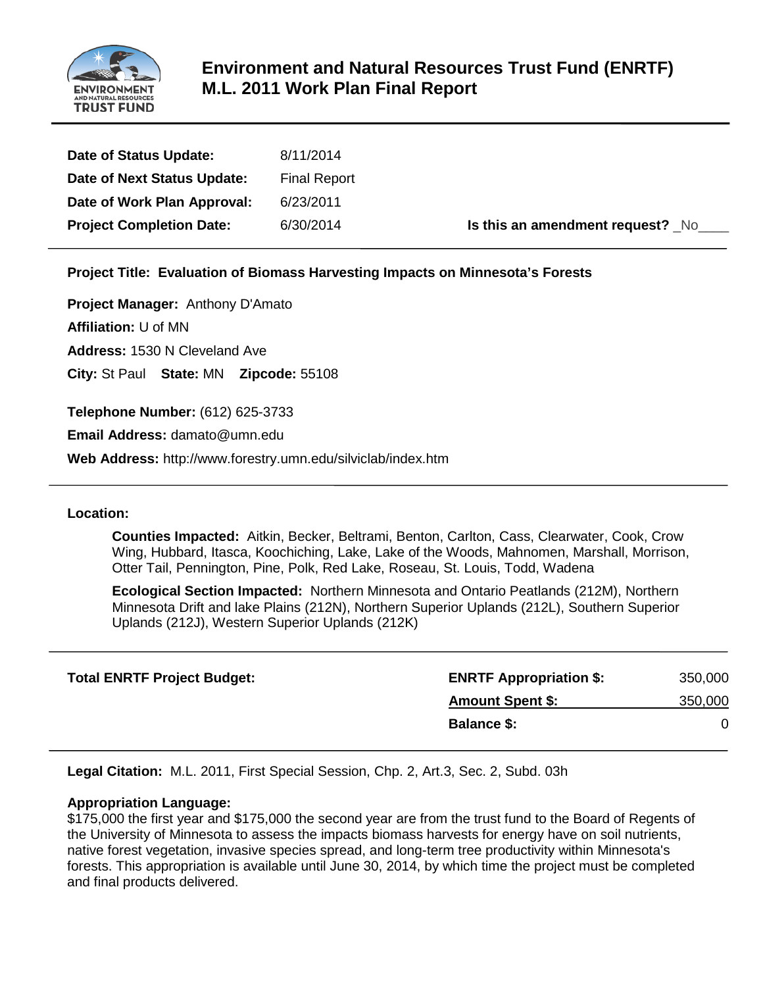

# **Environment and Natural Resources Trust Fund (ENRTF) M.L. 2011 Work Plan Final Report**

| Date of Status Update:          | 8/11/2014           |                                  |
|---------------------------------|---------------------|----------------------------------|
| Date of Next Status Update:     | <b>Final Report</b> |                                  |
| Date of Work Plan Approval:     | 6/23/2011           |                                  |
| <b>Project Completion Date:</b> | 6/30/2014           | Is this an amendment request? No |

**Project Title: Evaluation of Biomass Harvesting Impacts on Minnesota's Forests**

**Project Manager:** Anthony D'Amato

**Affiliation:** U of MN

**Address:** 1530 N Cleveland Ave

**City:** St Paul **State:** MN **Zipcode:** 55108

**Telephone Number:** (612) 625-3733

**Email Address:** damato@umn.edu

**Web Address:** http://www.forestry.umn.edu/silviclab/index.htm

#### **Location:**

**Counties Impacted:** Aitkin, Becker, Beltrami, Benton, Carlton, Cass, Clearwater, Cook, Crow Wing, Hubbard, Itasca, Koochiching, Lake, Lake of the Woods, Mahnomen, Marshall, Morrison, Otter Tail, Pennington, Pine, Polk, Red Lake, Roseau, St. Louis, Todd, Wadena

**Ecological Section Impacted:** Northern Minnesota and Ontario Peatlands (212M), Northern Minnesota Drift and lake Plains (212N), Northern Superior Uplands (212L), Southern Superior Uplands (212J), Western Superior Uplands (212K)

| <b>ENRTF Appropriation \$:</b> | 350,000 |
|--------------------------------|---------|
| <b>Amount Spent \$:</b>        | 350,000 |
| <b>Balance \$:</b>             |         |
|                                |         |

**Legal Citation:** M.L. 2011, First Special Session, Chp. 2, Art.3, Sec. 2, Subd. 03h

#### **Appropriation Language:**

\$175,000 the first year and \$175,000 the second year are from the trust fund to the Board of Regents of the University of Minnesota to assess the impacts biomass harvests for energy have on soil nutrients, native forest vegetation, invasive species spread, and long-term tree productivity within Minnesota's forests. This appropriation is available until June 30, 2014, by which time the project must be completed and final products delivered.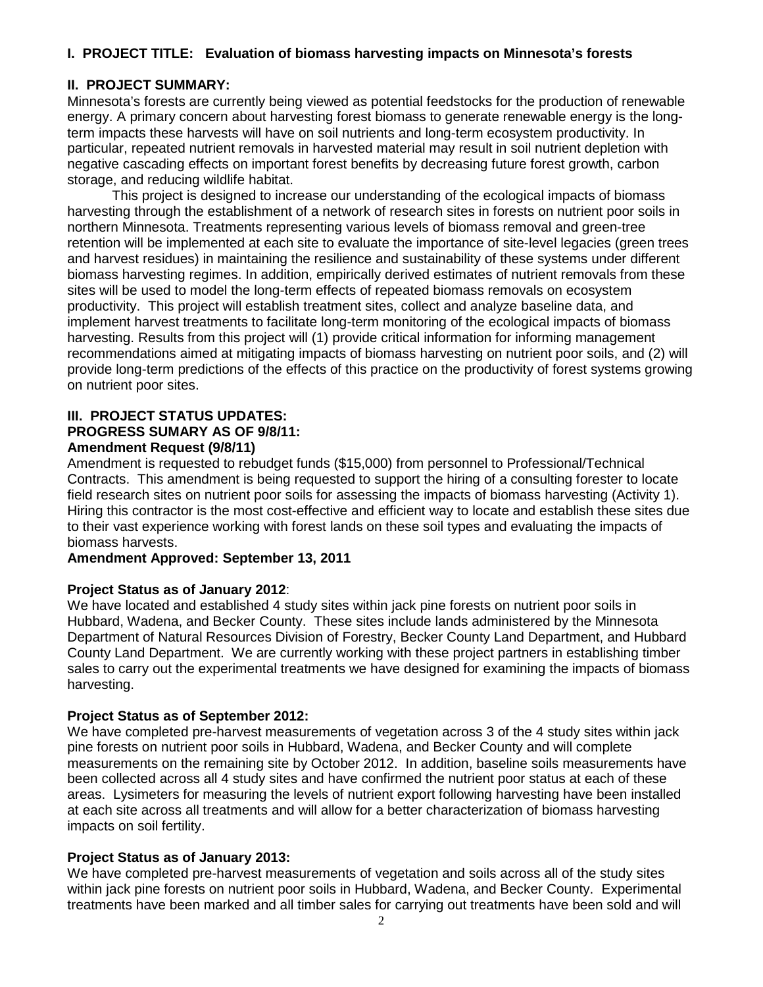# **I. PROJECT TITLE: Evaluation of biomass harvesting impacts on Minnesota's forests**

# **II. PROJECT SUMMARY:**

Minnesota's forests are currently being viewed as potential feedstocks for the production of renewable energy. A primary concern about harvesting forest biomass to generate renewable energy is the longterm impacts these harvests will have on soil nutrients and long-term ecosystem productivity. In particular, repeated nutrient removals in harvested material may result in soil nutrient depletion with negative cascading effects on important forest benefits by decreasing future forest growth, carbon storage, and reducing wildlife habitat.

This project is designed to increase our understanding of the ecological impacts of biomass harvesting through the establishment of a network of research sites in forests on nutrient poor soils in northern Minnesota. Treatments representing various levels of biomass removal and green-tree retention will be implemented at each site to evaluate the importance of site-level legacies (green trees and harvest residues) in maintaining the resilience and sustainability of these systems under different biomass harvesting regimes. In addition, empirically derived estimates of nutrient removals from these sites will be used to model the long-term effects of repeated biomass removals on ecosystem productivity. This project will establish treatment sites, collect and analyze baseline data, and implement harvest treatments to facilitate long-term monitoring of the ecological impacts of biomass harvesting. Results from this project will (1) provide critical information for informing management recommendations aimed at mitigating impacts of biomass harvesting on nutrient poor soils, and (2) will provide long-term predictions of the effects of this practice on the productivity of forest systems growing on nutrient poor sites.

#### **III. PROJECT STATUS UPDATES: PROGRESS SUMARY AS OF 9/8/11: Amendment Request (9/8/11)**

Amendment is requested to rebudget funds (\$15,000) from personnel to Professional/Technical Contracts. This amendment is being requested to support the hiring of a consulting forester to locate field research sites on nutrient poor soils for assessing the impacts of biomass harvesting (Activity 1). Hiring this contractor is the most cost-effective and efficient way to locate and establish these sites due to their vast experience working with forest lands on these soil types and evaluating the impacts of biomass harvests.

### **Amendment Approved: September 13, 2011**

### **Project Status as of January 2012**:

We have located and established 4 study sites within jack pine forests on nutrient poor soils in Hubbard, Wadena, and Becker County. These sites include lands administered by the Minnesota Department of Natural Resources Division of Forestry, Becker County Land Department, and Hubbard County Land Department. We are currently working with these project partners in establishing timber sales to carry out the experimental treatments we have designed for examining the impacts of biomass harvesting.

### **Project Status as of September 2012:**

We have completed pre-harvest measurements of vegetation across 3 of the 4 study sites within jack pine forests on nutrient poor soils in Hubbard, Wadena, and Becker County and will complete measurements on the remaining site by October 2012. In addition, baseline soils measurements have been collected across all 4 study sites and have confirmed the nutrient poor status at each of these areas. Lysimeters for measuring the levels of nutrient export following harvesting have been installed at each site across all treatments and will allow for a better characterization of biomass harvesting impacts on soil fertility.

# **Project Status as of January 2013:**

We have completed pre-harvest measurements of vegetation and soils across all of the study sites within jack pine forests on nutrient poor soils in Hubbard, Wadena, and Becker County. Experimental treatments have been marked and all timber sales for carrying out treatments have been sold and will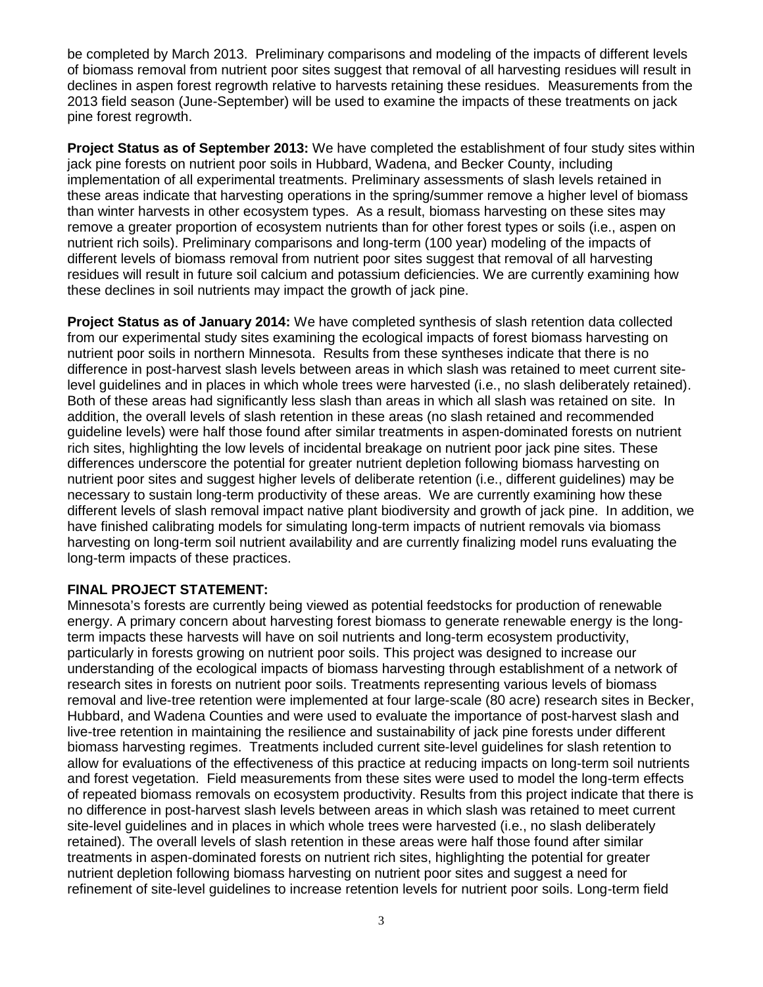be completed by March 2013. Preliminary comparisons and modeling of the impacts of different levels of biomass removal from nutrient poor sites suggest that removal of all harvesting residues will result in declines in aspen forest regrowth relative to harvests retaining these residues. Measurements from the 2013 field season (June-September) will be used to examine the impacts of these treatments on jack pine forest regrowth.

**Project Status as of September 2013:** We have completed the establishment of four study sites within jack pine forests on nutrient poor soils in Hubbard, Wadena, and Becker County, including implementation of all experimental treatments. Preliminary assessments of slash levels retained in these areas indicate that harvesting operations in the spring/summer remove a higher level of biomass than winter harvests in other ecosystem types. As a result, biomass harvesting on these sites may remove a greater proportion of ecosystem nutrients than for other forest types or soils (i.e., aspen on nutrient rich soils). Preliminary comparisons and long-term (100 year) modeling of the impacts of different levels of biomass removal from nutrient poor sites suggest that removal of all harvesting residues will result in future soil calcium and potassium deficiencies. We are currently examining how these declines in soil nutrients may impact the growth of jack pine.

**Project Status as of January 2014:** We have completed synthesis of slash retention data collected from our experimental study sites examining the ecological impacts of forest biomass harvesting on nutrient poor soils in northern Minnesota. Results from these syntheses indicate that there is no difference in post-harvest slash levels between areas in which slash was retained to meet current sitelevel guidelines and in places in which whole trees were harvested (i.e., no slash deliberately retained). Both of these areas had significantly less slash than areas in which all slash was retained on site. In addition, the overall levels of slash retention in these areas (no slash retained and recommended guideline levels) were half those found after similar treatments in aspen-dominated forests on nutrient rich sites, highlighting the low levels of incidental breakage on nutrient poor jack pine sites. These differences underscore the potential for greater nutrient depletion following biomass harvesting on nutrient poor sites and suggest higher levels of deliberate retention (i.e., different guidelines) may be necessary to sustain long-term productivity of these areas. We are currently examining how these different levels of slash removal impact native plant biodiversity and growth of jack pine. In addition, we have finished calibrating models for simulating long-term impacts of nutrient removals via biomass harvesting on long-term soil nutrient availability and are currently finalizing model runs evaluating the long-term impacts of these practices.

### **FINAL PROJECT STATEMENT:**

Minnesota's forests are currently being viewed as potential feedstocks for production of renewable energy. A primary concern about harvesting forest biomass to generate renewable energy is the longterm impacts these harvests will have on soil nutrients and long-term ecosystem productivity, particularly in forests growing on nutrient poor soils. This project was designed to increase our understanding of the ecological impacts of biomass harvesting through establishment of a network of research sites in forests on nutrient poor soils. Treatments representing various levels of biomass removal and live-tree retention were implemented at four large-scale (80 acre) research sites in Becker, Hubbard, and Wadena Counties and were used to evaluate the importance of post-harvest slash and live-tree retention in maintaining the resilience and sustainability of jack pine forests under different biomass harvesting regimes. Treatments included current site-level guidelines for slash retention to allow for evaluations of the effectiveness of this practice at reducing impacts on long-term soil nutrients and forest vegetation. Field measurements from these sites were used to model the long-term effects of repeated biomass removals on ecosystem productivity. Results from this project indicate that there is no difference in post-harvest slash levels between areas in which slash was retained to meet current site-level guidelines and in places in which whole trees were harvested (i.e., no slash deliberately retained). The overall levels of slash retention in these areas were half those found after similar treatments in aspen-dominated forests on nutrient rich sites, highlighting the potential for greater nutrient depletion following biomass harvesting on nutrient poor sites and suggest a need for refinement of site-level guidelines to increase retention levels for nutrient poor soils. Long-term field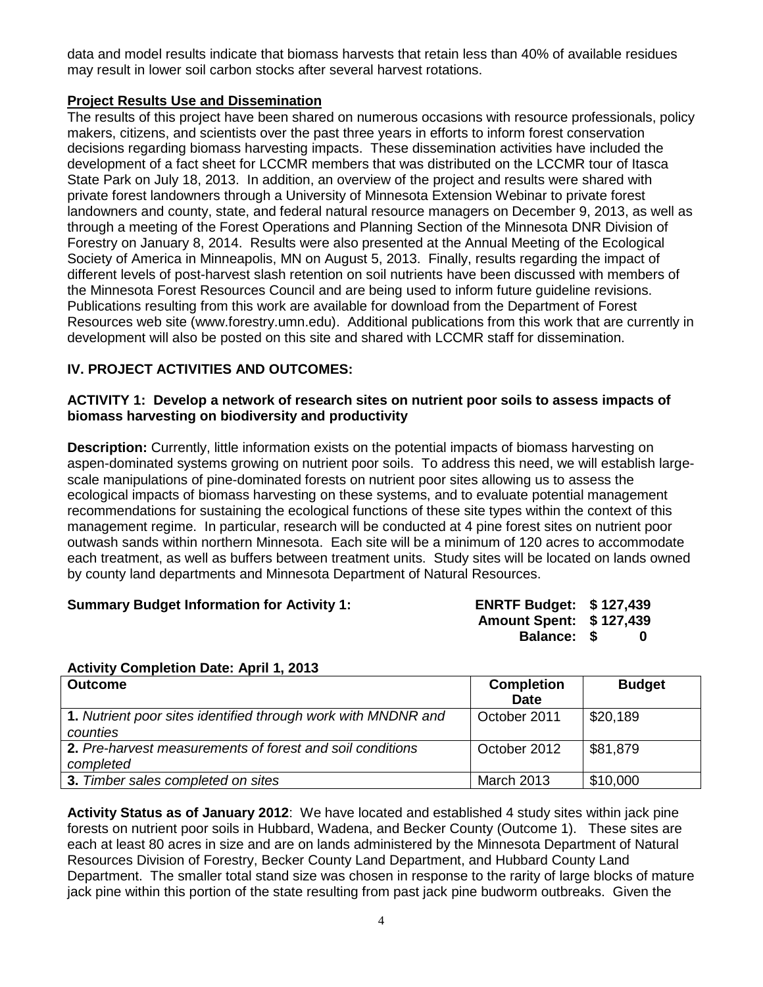data and model results indicate that biomass harvests that retain less than 40% of available residues may result in lower soil carbon stocks after several harvest rotations.

### **Project Results Use and Dissemination**

The results of this project have been shared on numerous occasions with resource professionals, policy makers, citizens, and scientists over the past three years in efforts to inform forest conservation decisions regarding biomass harvesting impacts. These dissemination activities have included the development of a fact sheet for LCCMR members that was distributed on the LCCMR tour of Itasca State Park on July 18, 2013. In addition, an overview of the project and results were shared with private forest landowners through a University of Minnesota Extension Webinar to private forest landowners and county, state, and federal natural resource managers on December 9, 2013, as well as through a meeting of the Forest Operations and Planning Section of the Minnesota DNR Division of Forestry on January 8, 2014. Results were also presented at the Annual Meeting of the Ecological Society of America in Minneapolis, MN on August 5, 2013. Finally, results regarding the impact of different levels of post-harvest slash retention on soil nutrients have been discussed with members of the Minnesota Forest Resources Council and are being used to inform future guideline revisions. Publications resulting from this work are available for download from the Department of Forest Resources web site (www.forestry.umn.edu). Additional publications from this work that are currently in development will also be posted on this site and shared with LCCMR staff for dissemination.

# **IV. PROJECT ACTIVITIES AND OUTCOMES:**

#### **ACTIVITY 1: Develop a network of research sites on nutrient poor soils to assess impacts of biomass harvesting on biodiversity and productivity**

**Description:** Currently, little information exists on the potential impacts of biomass harvesting on aspen-dominated systems growing on nutrient poor soils. To address this need, we will establish largescale manipulations of pine-dominated forests on nutrient poor sites allowing us to assess the ecological impacts of biomass harvesting on these systems, and to evaluate potential management recommendations for sustaining the ecological functions of these site types within the context of this management regime. In particular, research will be conducted at 4 pine forest sites on nutrient poor outwash sands within northern Minnesota. Each site will be a minimum of 120 acres to accommodate each treatment, as well as buffers between treatment units. Study sites will be located on lands owned by county land departments and Minnesota Department of Natural Resources.

### **Summary Budget Information for Activity 1:**

| <b>ENRTF Budget:</b>    | \$127,439 |
|-------------------------|-----------|
| Amount Spent: \$127,439 |           |
| Balance: \$             | 0         |

### **Activity Completion Date: April 1, 2013**

| <b>Outcome</b>                                                            | <b>Completion</b><br><b>Date</b> | <b>Budget</b>          |
|---------------------------------------------------------------------------|----------------------------------|------------------------|
| 1. Nutrient poor sites identified through work with MNDNR and<br>counties | October 2011                     | $\frac{1}{2}$ \$20,189 |
| 2. Pre-harvest measurements of forest and soil conditions<br>completed    | October 2012                     | \$81,879               |
| 3. Timber sales completed on sites                                        | <b>March 2013</b>                | \$10,000               |

**Activity Status as of January 2012**: We have located and established 4 study sites within jack pine forests on nutrient poor soils in Hubbard, Wadena, and Becker County (Outcome 1). These sites are each at least 80 acres in size and are on lands administered by the Minnesota Department of Natural Resources Division of Forestry, Becker County Land Department, and Hubbard County Land Department. The smaller total stand size was chosen in response to the rarity of large blocks of mature jack pine within this portion of the state resulting from past jack pine budworm outbreaks. Given the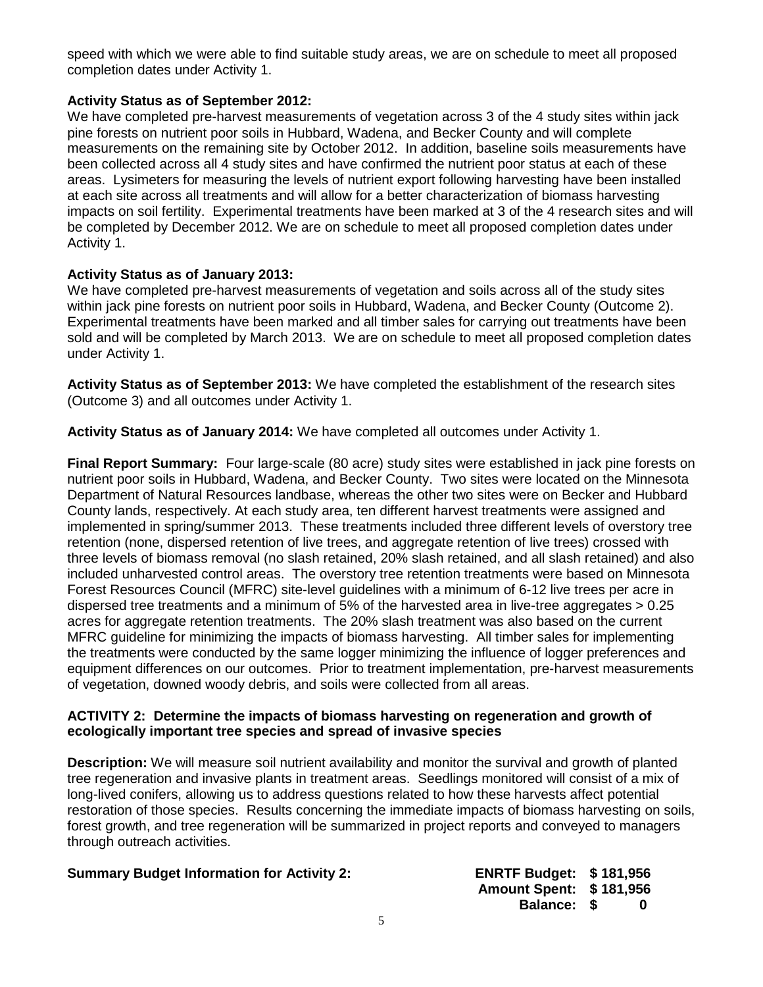speed with which we were able to find suitable study areas, we are on schedule to meet all proposed completion dates under Activity 1.

### **Activity Status as of September 2012:**

We have completed pre-harvest measurements of vegetation across 3 of the 4 study sites within jack pine forests on nutrient poor soils in Hubbard, Wadena, and Becker County and will complete measurements on the remaining site by October 2012. In addition, baseline soils measurements have been collected across all 4 study sites and have confirmed the nutrient poor status at each of these areas. Lysimeters for measuring the levels of nutrient export following harvesting have been installed at each site across all treatments and will allow for a better characterization of biomass harvesting impacts on soil fertility. Experimental treatments have been marked at 3 of the 4 research sites and will be completed by December 2012. We are on schedule to meet all proposed completion dates under Activity 1.

### **Activity Status as of January 2013:**

We have completed pre-harvest measurements of vegetation and soils across all of the study sites within jack pine forests on nutrient poor soils in Hubbard, Wadena, and Becker County (Outcome 2). Experimental treatments have been marked and all timber sales for carrying out treatments have been sold and will be completed by March 2013. We are on schedule to meet all proposed completion dates under Activity 1.

**Activity Status as of September 2013:** We have completed the establishment of the research sites (Outcome 3) and all outcomes under Activity 1.

**Activity Status as of January 2014:** We have completed all outcomes under Activity 1.

**Final Report Summary:** Four large-scale (80 acre) study sites were established in jack pine forests on nutrient poor soils in Hubbard, Wadena, and Becker County. Two sites were located on the Minnesota Department of Natural Resources landbase, whereas the other two sites were on Becker and Hubbard County lands, respectively. At each study area, ten different harvest treatments were assigned and implemented in spring/summer 2013. These treatments included three different levels of overstory tree retention (none, dispersed retention of live trees, and aggregate retention of live trees) crossed with three levels of biomass removal (no slash retained, 20% slash retained, and all slash retained) and also included unharvested control areas. The overstory tree retention treatments were based on Minnesota Forest Resources Council (MFRC) site-level guidelines with a minimum of 6-12 live trees per acre in dispersed tree treatments and a minimum of 5% of the harvested area in live-tree aggregates > 0.25 acres for aggregate retention treatments. The 20% slash treatment was also based on the current MFRC guideline for minimizing the impacts of biomass harvesting. All timber sales for implementing the treatments were conducted by the same logger minimizing the influence of logger preferences and equipment differences on our outcomes. Prior to treatment implementation, pre-harvest measurements of vegetation, downed woody debris, and soils were collected from all areas.

#### **ACTIVITY 2: Determine the impacts of biomass harvesting on regeneration and growth of ecologically important tree species and spread of invasive species**

**Description:** We will measure soil nutrient availability and monitor the survival and growth of planted tree regeneration and invasive plants in treatment areas. Seedlings monitored will consist of a mix of long-lived conifers, allowing us to address questions related to how these harvests affect potential restoration of those species. Results concerning the immediate impacts of biomass harvesting on soils, forest growth, and tree regeneration will be summarized in project reports and conveyed to managers through outreach activities.

# **Summary Budget Information for Activity 2:**

| <b>ENRTF Budget:</b> | \$181,956 |
|----------------------|-----------|
| <b>Amount Spent:</b> | \$181,956 |
| <b>Balance: \$</b>   | n         |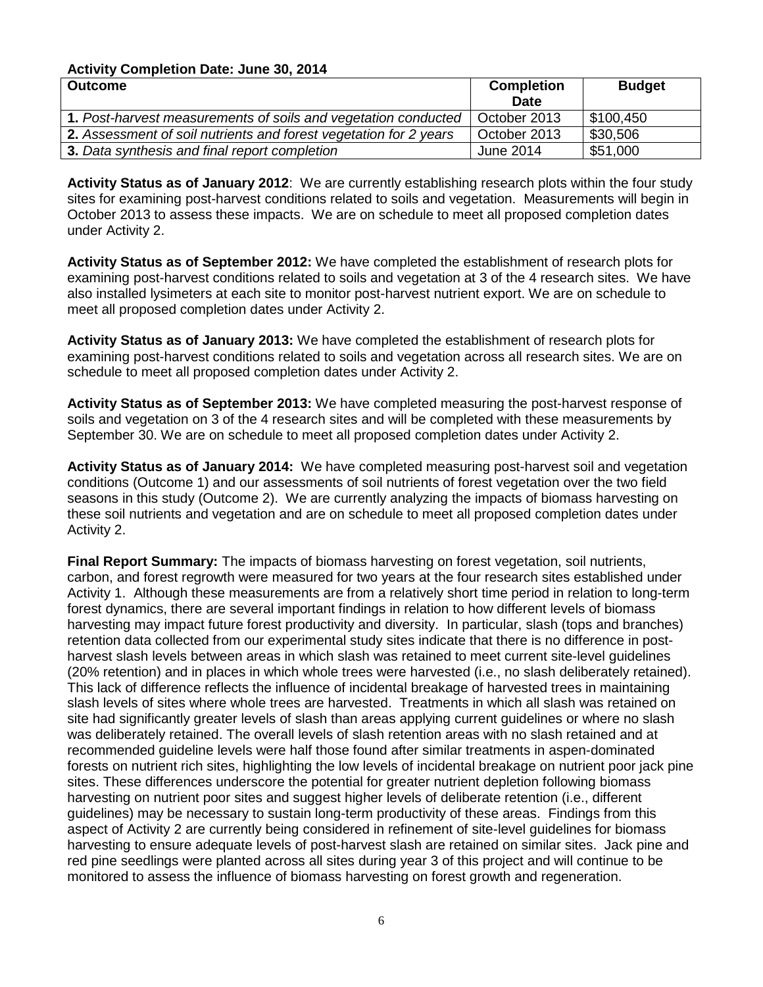#### **Activity Completion Date: June 30, 2014**

| <b>Outcome</b>                                                    | <b>Completion</b> | <b>Budget</b> |
|-------------------------------------------------------------------|-------------------|---------------|
|                                                                   | <b>Date</b>       |               |
| 1. Post-harvest measurements of soils and vegetation conducted    | October 2013      | \$100,450     |
| 2. Assessment of soil nutrients and forest vegetation for 2 years | October 2013      | \$30,506      |
| 3. Data synthesis and final report completion                     | June 2014         | \$51,000      |

**Activity Status as of January 2012**: We are currently establishing research plots within the four study sites for examining post-harvest conditions related to soils and vegetation. Measurements will begin in October 2013 to assess these impacts. We are on schedule to meet all proposed completion dates under Activity 2.

**Activity Status as of September 2012:** We have completed the establishment of research plots for examining post-harvest conditions related to soils and vegetation at 3 of the 4 research sites. We have also installed lysimeters at each site to monitor post-harvest nutrient export. We are on schedule to meet all proposed completion dates under Activity 2.

**Activity Status as of January 2013:** We have completed the establishment of research plots for examining post-harvest conditions related to soils and vegetation across all research sites. We are on schedule to meet all proposed completion dates under Activity 2.

**Activity Status as of September 2013:** We have completed measuring the post-harvest response of soils and vegetation on 3 of the 4 research sites and will be completed with these measurements by September 30. We are on schedule to meet all proposed completion dates under Activity 2.

**Activity Status as of January 2014:** We have completed measuring post-harvest soil and vegetation conditions (Outcome 1) and our assessments of soil nutrients of forest vegetation over the two field seasons in this study (Outcome 2). We are currently analyzing the impacts of biomass harvesting on these soil nutrients and vegetation and are on schedule to meet all proposed completion dates under Activity 2.

**Final Report Summary:** The impacts of biomass harvesting on forest vegetation, soil nutrients, carbon, and forest regrowth were measured for two years at the four research sites established under Activity 1. Although these measurements are from a relatively short time period in relation to long-term forest dynamics, there are several important findings in relation to how different levels of biomass harvesting may impact future forest productivity and diversity. In particular, slash (tops and branches) retention data collected from our experimental study sites indicate that there is no difference in postharvest slash levels between areas in which slash was retained to meet current site-level guidelines (20% retention) and in places in which whole trees were harvested (i.e., no slash deliberately retained). This lack of difference reflects the influence of incidental breakage of harvested trees in maintaining slash levels of sites where whole trees are harvested. Treatments in which all slash was retained on site had significantly greater levels of slash than areas applying current guidelines or where no slash was deliberately retained. The overall levels of slash retention areas with no slash retained and at recommended guideline levels were half those found after similar treatments in aspen-dominated forests on nutrient rich sites, highlighting the low levels of incidental breakage on nutrient poor jack pine sites. These differences underscore the potential for greater nutrient depletion following biomass harvesting on nutrient poor sites and suggest higher levels of deliberate retention (i.e., different guidelines) may be necessary to sustain long-term productivity of these areas. Findings from this aspect of Activity 2 are currently being considered in refinement of site-level guidelines for biomass harvesting to ensure adequate levels of post-harvest slash are retained on similar sites. Jack pine and red pine seedlings were planted across all sites during year 3 of this project and will continue to be monitored to assess the influence of biomass harvesting on forest growth and regeneration.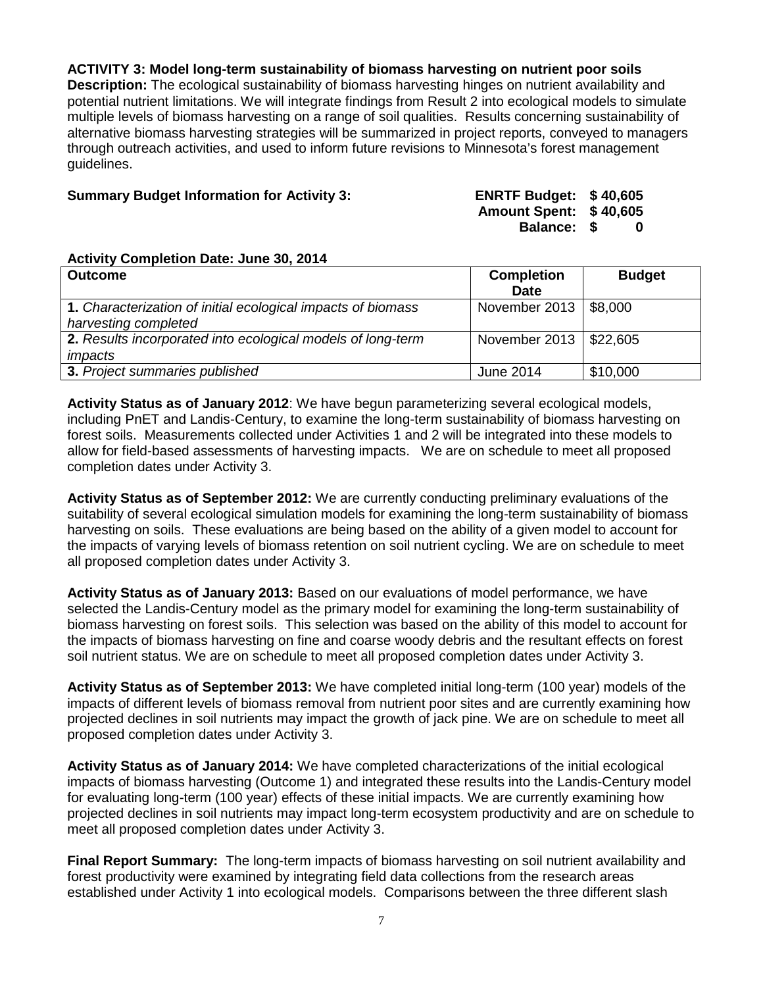**ACTIVITY 3: Model long-term sustainability of biomass harvesting on nutrient poor soils** 

**Description:** The ecological sustainability of biomass harvesting hinges on nutrient availability and potential nutrient limitations. We will integrate findings from Result 2 into ecological models to simulate multiple levels of biomass harvesting on a range of soil qualities. Results concerning sustainability of alternative biomass harvesting strategies will be summarized in project reports, conveyed to managers through outreach activities, and used to inform future revisions to Minnesota's forest management guidelines.

#### **Summary Budget Information for Activity 3:**

| <b>ENRTF Budget:</b> | \$40,605 |  |
|----------------------|----------|--|
| <b>Amount Spent:</b> | \$40,605 |  |
| <b>Balance:</b>      | -SS<br>0 |  |

#### **Activity Completion Date: June 30, 2014**

| <b>Outcome</b>                                               | <b>Completion</b>        | <b>Budget</b> |
|--------------------------------------------------------------|--------------------------|---------------|
|                                                              | <b>Date</b>              |               |
| 1. Characterization of initial ecological impacts of biomass | November 2013   \$8,000  |               |
| harvesting completed                                         |                          |               |
| 2. Results incorporated into ecological models of long-term  | November 2013   \$22,605 |               |
| impacts                                                      |                          |               |
| 3. Project summaries published                               | June 2014                | \$10,000      |

**Activity Status as of January 2012**: We have begun parameterizing several ecological models, including PnET and Landis-Century, to examine the long-term sustainability of biomass harvesting on forest soils. Measurements collected under Activities 1 and 2 will be integrated into these models to allow for field-based assessments of harvesting impacts. We are on schedule to meet all proposed completion dates under Activity 3.

**Activity Status as of September 2012:** We are currently conducting preliminary evaluations of the suitability of several ecological simulation models for examining the long-term sustainability of biomass harvesting on soils. These evaluations are being based on the ability of a given model to account for the impacts of varying levels of biomass retention on soil nutrient cycling. We are on schedule to meet all proposed completion dates under Activity 3.

**Activity Status as of January 2013:** Based on our evaluations of model performance, we have selected the Landis-Century model as the primary model for examining the long-term sustainability of biomass harvesting on forest soils. This selection was based on the ability of this model to account for the impacts of biomass harvesting on fine and coarse woody debris and the resultant effects on forest soil nutrient status. We are on schedule to meet all proposed completion dates under Activity 3.

**Activity Status as of September 2013:** We have completed initial long-term (100 year) models of the impacts of different levels of biomass removal from nutrient poor sites and are currently examining how projected declines in soil nutrients may impact the growth of jack pine. We are on schedule to meet all proposed completion dates under Activity 3.

**Activity Status as of January 2014:** We have completed characterizations of the initial ecological impacts of biomass harvesting (Outcome 1) and integrated these results into the Landis-Century model for evaluating long-term (100 year) effects of these initial impacts. We are currently examining how projected declines in soil nutrients may impact long-term ecosystem productivity and are on schedule to meet all proposed completion dates under Activity 3.

**Final Report Summary:** The long-term impacts of biomass harvesting on soil nutrient availability and forest productivity were examined by integrating field data collections from the research areas established under Activity 1 into ecological models. Comparisons between the three different slash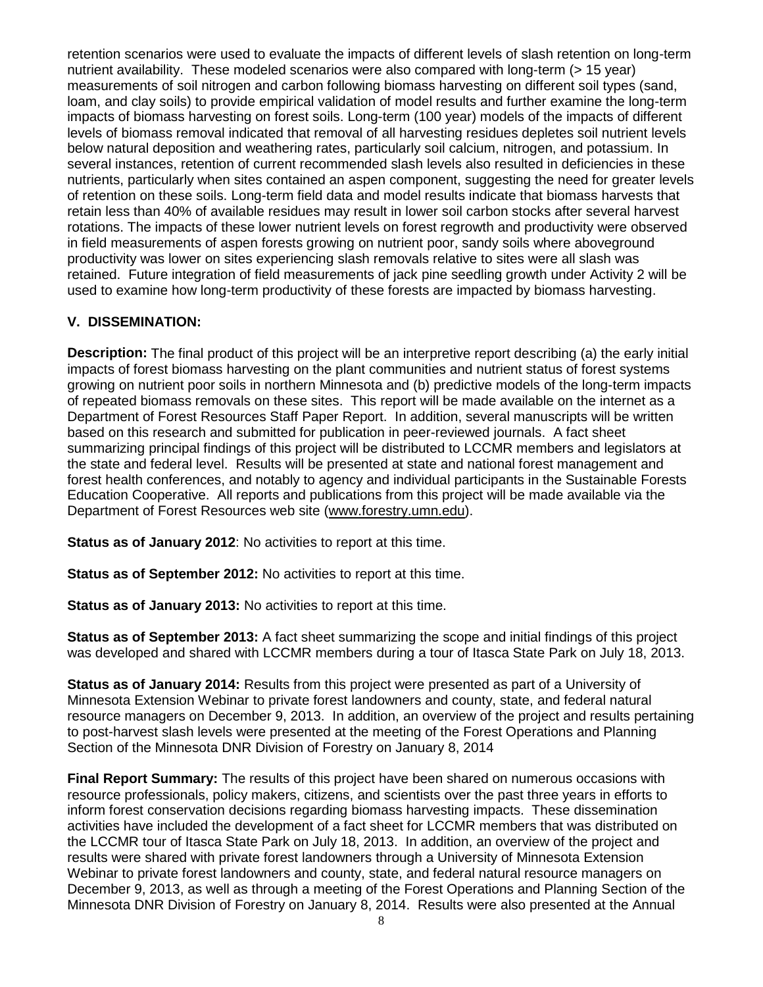retention scenarios were used to evaluate the impacts of different levels of slash retention on long-term nutrient availability. These modeled scenarios were also compared with long-term (> 15 year) measurements of soil nitrogen and carbon following biomass harvesting on different soil types (sand, loam, and clay soils) to provide empirical validation of model results and further examine the long-term impacts of biomass harvesting on forest soils. Long-term (100 year) models of the impacts of different levels of biomass removal indicated that removal of all harvesting residues depletes soil nutrient levels below natural deposition and weathering rates, particularly soil calcium, nitrogen, and potassium. In several instances, retention of current recommended slash levels also resulted in deficiencies in these nutrients, particularly when sites contained an aspen component, suggesting the need for greater levels of retention on these soils. Long-term field data and model results indicate that biomass harvests that retain less than 40% of available residues may result in lower soil carbon stocks after several harvest rotations. The impacts of these lower nutrient levels on forest regrowth and productivity were observed in field measurements of aspen forests growing on nutrient poor, sandy soils where aboveground productivity was lower on sites experiencing slash removals relative to sites were all slash was retained. Future integration of field measurements of jack pine seedling growth under Activity 2 will be used to examine how long-term productivity of these forests are impacted by biomass harvesting.

### **V. DISSEMINATION:**

**Description:** The final product of this project will be an interpretive report describing (a) the early initial impacts of forest biomass harvesting on the plant communities and nutrient status of forest systems growing on nutrient poor soils in northern Minnesota and (b) predictive models of the long-term impacts of repeated biomass removals on these sites. This report will be made available on the internet as a Department of Forest Resources Staff Paper Report. In addition, several manuscripts will be written based on this research and submitted for publication in peer-reviewed journals. A fact sheet summarizing principal findings of this project will be distributed to LCCMR members and legislators at the state and federal level. Results will be presented at state and national forest management and forest health conferences, and notably to agency and individual participants in the Sustainable Forests Education Cooperative. All reports and publications from this project will be made available via the Department of Forest Resources web site (www.forestry.umn.edu).

**Status as of January 2012**: No activities to report at this time.

**Status as of September 2012:** No activities to report at this time.

**Status as of January 2013:** No activities to report at this time.

**Status as of September 2013:** A fact sheet summarizing the scope and initial findings of this project was developed and shared with LCCMR members during a tour of Itasca State Park on July 18, 2013.

**Status as of January 2014:** Results from this project were presented as part of a University of Minnesota Extension Webinar to private forest landowners and county, state, and federal natural resource managers on December 9, 2013. In addition, an overview of the project and results pertaining to post-harvest slash levels were presented at the meeting of the Forest Operations and Planning Section of the Minnesota DNR Division of Forestry on January 8, 2014

**Final Report Summary:** The results of this project have been shared on numerous occasions with resource professionals, policy makers, citizens, and scientists over the past three years in efforts to inform forest conservation decisions regarding biomass harvesting impacts. These dissemination activities have included the development of a fact sheet for LCCMR members that was distributed on the LCCMR tour of Itasca State Park on July 18, 2013. In addition, an overview of the project and results were shared with private forest landowners through a University of Minnesota Extension Webinar to private forest landowners and county, state, and federal natural resource managers on December 9, 2013, as well as through a meeting of the Forest Operations and Planning Section of the Minnesota DNR Division of Forestry on January 8, 2014. Results were also presented at the Annual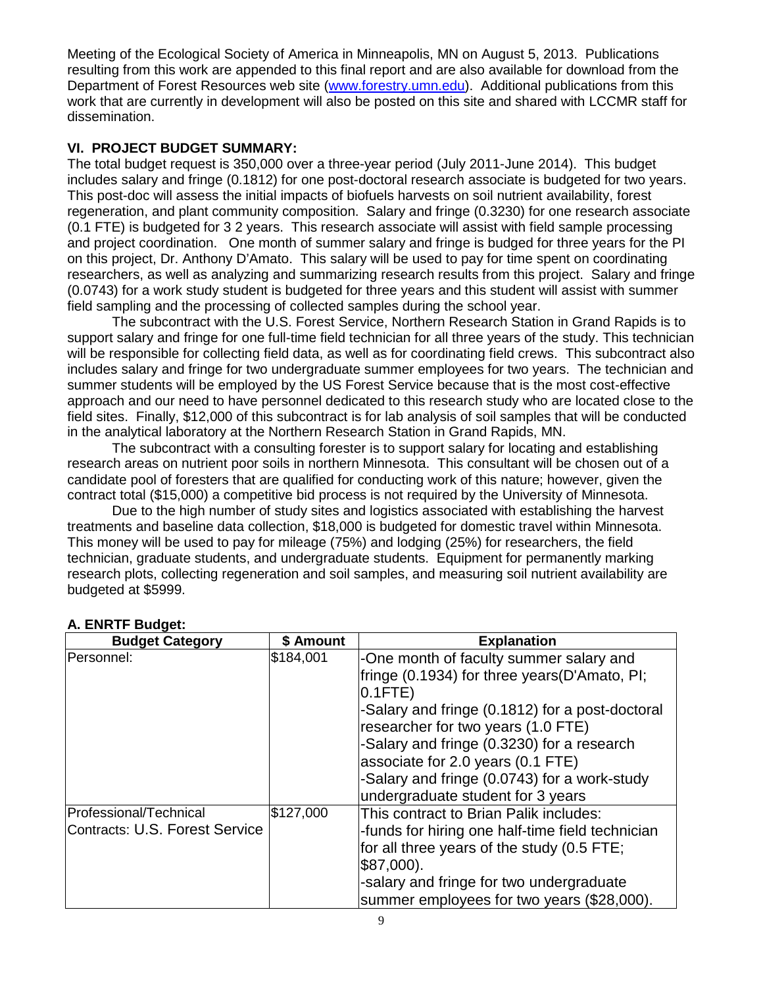Meeting of the Ecological Society of America in Minneapolis, MN on August 5, 2013. Publications resulting from this work are appended to this final report and are also available for download from the Department of Forest Resources web site [\(www.forestry.umn.edu\)](http://www.forestry.umn.edu/). Additional publications from this work that are currently in development will also be posted on this site and shared with LCCMR staff for dissemination.

### **VI. PROJECT BUDGET SUMMARY:**

The total budget request is 350,000 over a three-year period (July 2011-June 2014). This budget includes salary and fringe (0.1812) for one post-doctoral research associate is budgeted for two years. This post-doc will assess the initial impacts of biofuels harvests on soil nutrient availability, forest regeneration, and plant community composition. Salary and fringe (0.3230) for one research associate (0.1 FTE) is budgeted for 3 2 years. This research associate will assist with field sample processing and project coordination. One month of summer salary and fringe is budged for three years for the PI on this project, Dr. Anthony D'Amato. This salary will be used to pay for time spent on coordinating researchers, as well as analyzing and summarizing research results from this project. Salary and fringe (0.0743) for a work study student is budgeted for three years and this student will assist with summer field sampling and the processing of collected samples during the school year.

The subcontract with the U.S. Forest Service, Northern Research Station in Grand Rapids is to support salary and fringe for one full-time field technician for all three years of the study. This technician will be responsible for collecting field data, as well as for coordinating field crews. This subcontract also includes salary and fringe for two undergraduate summer employees for two years. The technician and summer students will be employed by the US Forest Service because that is the most cost-effective approach and our need to have personnel dedicated to this research study who are located close to the field sites. Finally, \$12,000 of this subcontract is for lab analysis of soil samples that will be conducted in the analytical laboratory at the Northern Research Station in Grand Rapids, MN.

The subcontract with a consulting forester is to support salary for locating and establishing research areas on nutrient poor soils in northern Minnesota. This consultant will be chosen out of a candidate pool of foresters that are qualified for conducting work of this nature; however, given the contract total (\$15,000) a competitive bid process is not required by the University of Minnesota.

Due to the high number of study sites and logistics associated with establishing the harvest treatments and baseline data collection, \$18,000 is budgeted for domestic travel within Minnesota. This money will be used to pay for mileage (75%) and lodging (25%) for researchers, the field technician, graduate students, and undergraduate students. Equipment for permanently marking research plots, collecting regeneration and soil samples, and measuring soil nutrient availability are budgeted at \$5999.

| <b>Budget Category</b>                                   | \$ Amount | <b>Explanation</b>                                                                                                                                                                                                                                                                                                                                                           |
|----------------------------------------------------------|-----------|------------------------------------------------------------------------------------------------------------------------------------------------------------------------------------------------------------------------------------------------------------------------------------------------------------------------------------------------------------------------------|
| Personnel:                                               | \$184,001 | -One month of faculty summer salary and<br>fringe (0.1934) for three years (D'Amato, PI;<br>$0.1$ FTE $)$<br>-Salary and fringe (0.1812) for a post-doctoral<br>researcher for two years (1.0 FTE)<br>-Salary and fringe (0.3230) for a research<br>associate for 2.0 years $(0.1$ FTE)<br>-Salary and fringe (0.0743) for a work-study<br>undergraduate student for 3 years |
| Professional/Technical<br>Contracts: U.S. Forest Service | \$127,000 | This contract to Brian Palik includes:<br>-funds for hiring one half-time field technician<br>for all three years of the study (0.5 FTE;<br> \$87,000).<br>-salary and fringe for two undergraduate<br>summer employees for two years (\$28,000).                                                                                                                            |

# **A. ENRTF Budget:**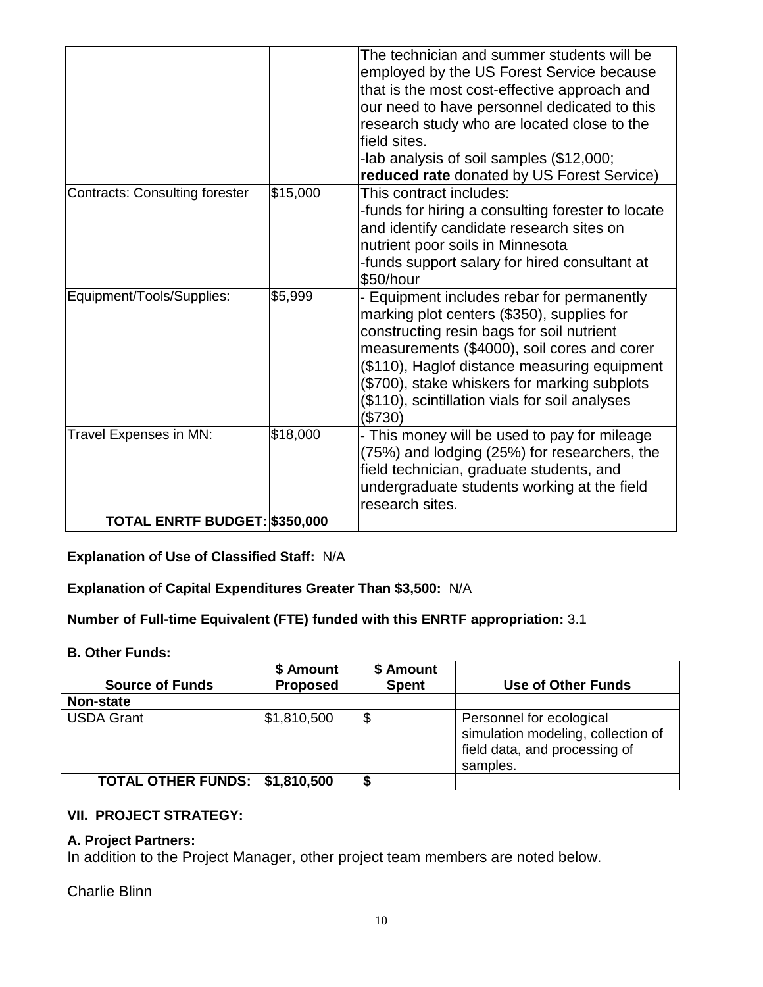|                                       |          | The technician and summer students will be<br>employed by the US Forest Service because<br>that is the most cost-effective approach and<br>our need to have personnel dedicated to this<br>research study who are located close to the<br>field sites.<br>-lab analysis of soil samples (\$12,000;<br>reduced rate donated by US Forest Service)  |
|---------------------------------------|----------|---------------------------------------------------------------------------------------------------------------------------------------------------------------------------------------------------------------------------------------------------------------------------------------------------------------------------------------------------|
| <b>Contracts: Consulting forester</b> | \$15,000 | This contract includes:<br>-funds for hiring a consulting forester to locate<br>and identify candidate research sites on<br>nutrient poor soils in Minnesota<br>-funds support salary for hired consultant at<br>\$50/hour                                                                                                                        |
| Equipment/Tools/Supplies:             | \$5,999  | - Equipment includes rebar for permanently<br>marking plot centers (\$350), supplies for<br>constructing resin bags for soil nutrient<br>measurements (\$4000), soil cores and corer<br>(\$110), Haglof distance measuring equipment<br>(\$700), stake whiskers for marking subplots<br>(\$110), scintillation vials for soil analyses<br>(\$730) |
| Travel Expenses in MN:                | \$18,000 | This money will be used to pay for mileage<br>(75%) and lodging (25%) for researchers, the<br>field technician, graduate students, and<br>undergraduate students working at the field<br>research sites.                                                                                                                                          |
| TOTAL ENRTF BUDGET: \$350,000         |          |                                                                                                                                                                                                                                                                                                                                                   |

**Explanation of Use of Classified Staff:** N/A

**Explanation of Capital Expenditures Greater Than \$3,500:** N/A

**Number of Full-time Equivalent (FTE) funded with this ENRTF appropriation:** 3.1

# **B. Other Funds:**

| <b>Source of Funds</b>                  | \$ Amount<br><b>Proposed</b> | \$ Amount<br><b>Spent</b> | Use of Other Funds                                                                                          |
|-----------------------------------------|------------------------------|---------------------------|-------------------------------------------------------------------------------------------------------------|
| Non-state                               |                              |                           |                                                                                                             |
| <b>USDA Grant</b>                       | \$1,810,500                  | \$                        | Personnel for ecological<br>simulation modeling, collection of<br>field data, and processing of<br>samples. |
| <b>TOTAL OTHER FUNDS:   \$1,810,500</b> |                              | S                         |                                                                                                             |

# **VII. PROJECT STRATEGY:**

# **A. Project Partners:**

In addition to the Project Manager, other project team members are noted below.

Charlie Blinn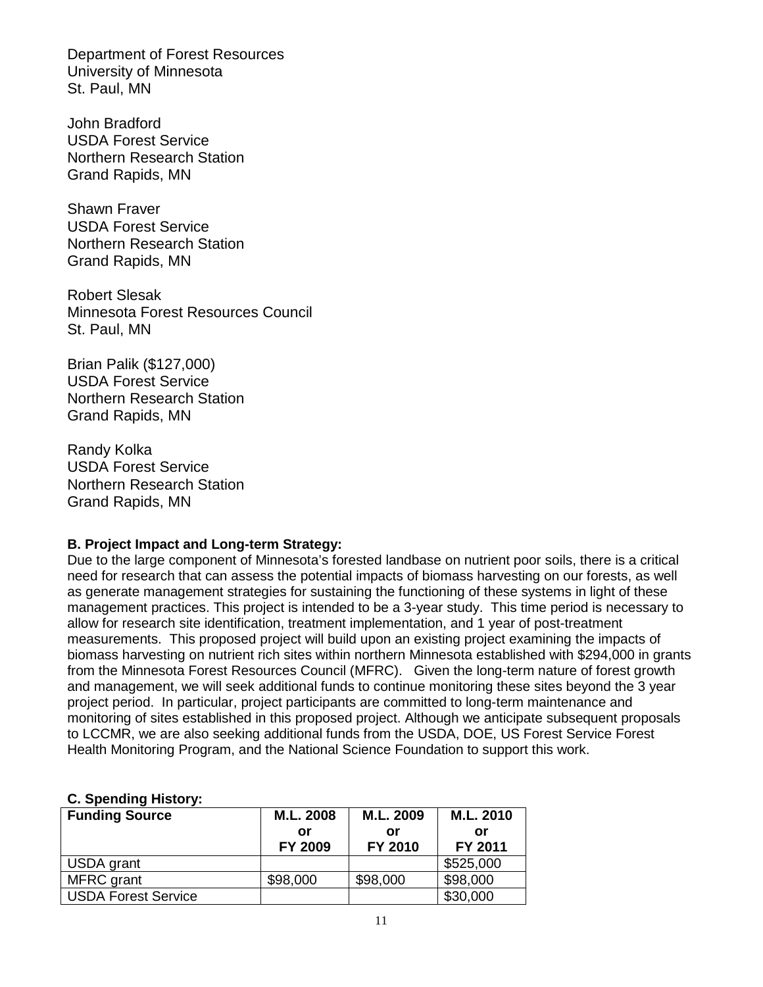Department of Forest Resources University of Minnesota St. Paul, MN

John Bradford USDA Forest Service Northern Research Station Grand Rapids, MN

Shawn Fraver USDA Forest Service Northern Research Station Grand Rapids, MN

Robert Slesak Minnesota Forest Resources Council St. Paul, MN

Brian Palik (\$127,000) USDA Forest Service Northern Research Station Grand Rapids, MN

Randy Kolka USDA Forest Service Northern Research Station Grand Rapids, MN

### **B. Project Impact and Long-term Strategy:**

Due to the large component of Minnesota's forested landbase on nutrient poor soils, there is a critical need for research that can assess the potential impacts of biomass harvesting on our forests, as well as generate management strategies for sustaining the functioning of these systems in light of these management practices. This project is intended to be a 3-year study. This time period is necessary to allow for research site identification, treatment implementation, and 1 year of post-treatment measurements. This proposed project will build upon an existing project examining the impacts of biomass harvesting on nutrient rich sites within northern Minnesota established with \$294,000 in grants from the Minnesota Forest Resources Council (MFRC). Given the long-term nature of forest growth and management, we will seek additional funds to continue monitoring these sites beyond the 3 year project period. In particular, project participants are committed to long-term maintenance and monitoring of sites established in this proposed project. Although we anticipate subsequent proposals to LCCMR, we are also seeking additional funds from the USDA, DOE, US Forest Service Forest Health Monitoring Program, and the National Science Foundation to support this work.

# **C. Spending History:**

| <b>Funding Source</b>      | M.L. 2008<br>or<br>FY 2009 | M.L. 2009<br>or<br>FY 2010 | M.L. 2010<br>or<br>FY 2011 |
|----------------------------|----------------------------|----------------------------|----------------------------|
| USDA grant                 |                            |                            | \$525,000                  |
| MFRC grant                 | \$98,000                   | \$98,000                   | \$98,000                   |
| <b>USDA Forest Service</b> |                            |                            | \$30,000                   |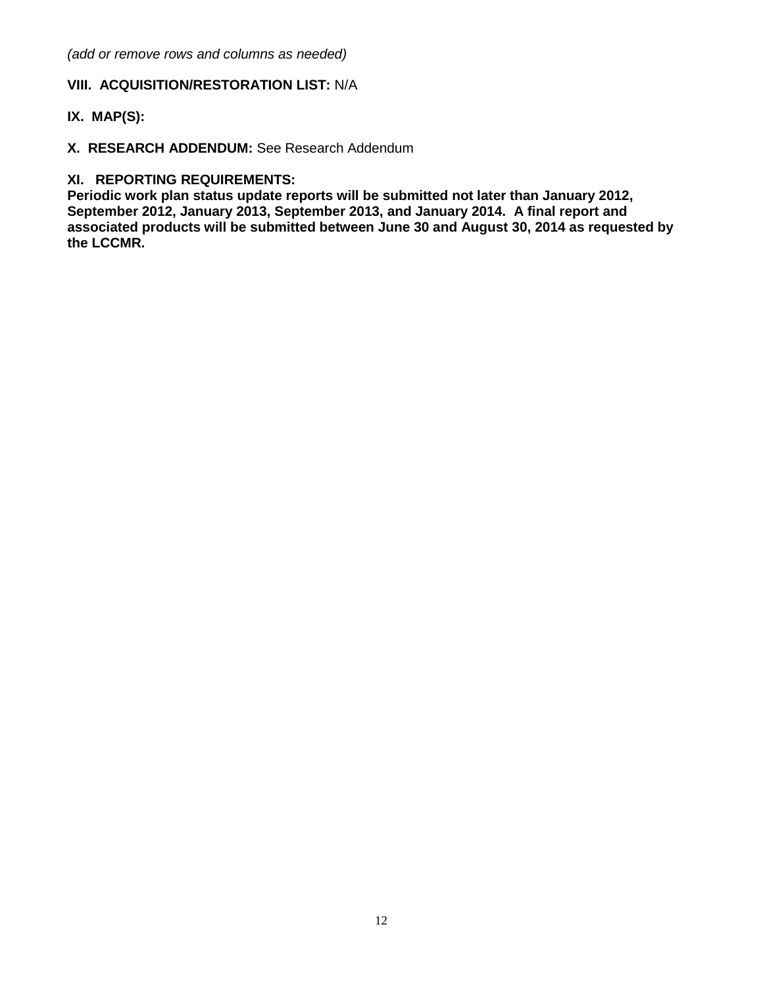*(add or remove rows and columns as needed)*

# **VIII. ACQUISITION/RESTORATION LIST:** N/A

### **IX. MAP(S):**

**X. RESEARCH ADDENDUM:** See Research Addendum

### **XI. REPORTING REQUIREMENTS:**

**Periodic work plan status update reports will be submitted not later than January 2012, September 2012, January 2013, September 2013, and January 2014. A final report and associated products will be submitted between June 30 and August 30, 2014 as requested by the LCCMR.**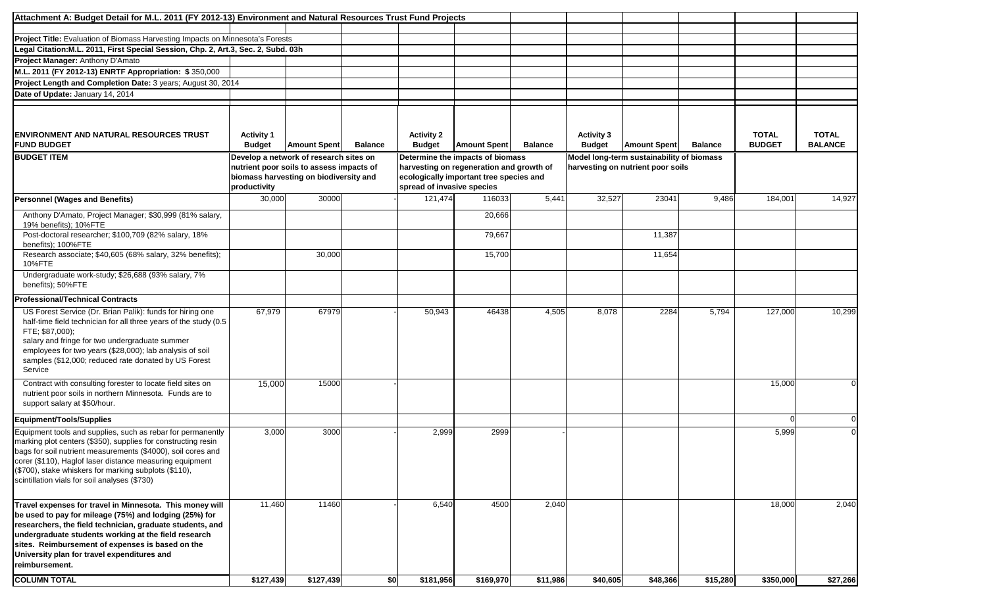| Attachment A: Budget Detail for M.L. 2011 (FY 2012-13) Environment and Natural Resources Trust Fund Projects                                                                                                                                                                                                                                                       |                                                                                                                                              |                     |                |                                                                                                                                                       |                     |                |                                                                                |                     |                |                               |                                |
|--------------------------------------------------------------------------------------------------------------------------------------------------------------------------------------------------------------------------------------------------------------------------------------------------------------------------------------------------------------------|----------------------------------------------------------------------------------------------------------------------------------------------|---------------------|----------------|-------------------------------------------------------------------------------------------------------------------------------------------------------|---------------------|----------------|--------------------------------------------------------------------------------|---------------------|----------------|-------------------------------|--------------------------------|
| Project Title: Evaluation of Biomass Harvesting Impacts on Minnesota's Forests                                                                                                                                                                                                                                                                                     |                                                                                                                                              |                     |                |                                                                                                                                                       |                     |                |                                                                                |                     |                |                               |                                |
| Legal Citation:M.L. 2011, First Special Session, Chp. 2, Art.3, Sec. 2, Subd. 03h                                                                                                                                                                                                                                                                                  |                                                                                                                                              |                     |                |                                                                                                                                                       |                     |                |                                                                                |                     |                |                               |                                |
| Project Manager: Anthony D'Amato                                                                                                                                                                                                                                                                                                                                   |                                                                                                                                              |                     |                |                                                                                                                                                       |                     |                |                                                                                |                     |                |                               |                                |
| M.L. 2011 (FY 2012-13) ENRTF Appropriation: \$350,000                                                                                                                                                                                                                                                                                                              |                                                                                                                                              |                     |                |                                                                                                                                                       |                     |                |                                                                                |                     |                |                               |                                |
| Project Length and Completion Date: 3 years; August 30, 2014                                                                                                                                                                                                                                                                                                       |                                                                                                                                              |                     |                |                                                                                                                                                       |                     |                |                                                                                |                     |                |                               |                                |
| Date of Update: January 14, 2014                                                                                                                                                                                                                                                                                                                                   |                                                                                                                                              |                     |                |                                                                                                                                                       |                     |                |                                                                                |                     |                |                               |                                |
|                                                                                                                                                                                                                                                                                                                                                                    |                                                                                                                                              |                     |                |                                                                                                                                                       |                     |                |                                                                                |                     |                |                               |                                |
| ENVIRONMENT AND NATURAL RESOURCES TRUST<br><b>FUND BUDGET</b>                                                                                                                                                                                                                                                                                                      | <b>Activity 1</b><br><b>Budget</b>                                                                                                           | <b>Amount Spent</b> | <b>Balance</b> | <b>Activity 2</b><br><b>Budget</b>                                                                                                                    | <b>Amount Spent</b> | <b>Balance</b> | <b>Activity 3</b><br><b>Budget</b>                                             | <b>Amount Spent</b> | <b>Balance</b> | <b>TOTAL</b><br><b>BUDGET</b> | <b>TOTAL</b><br><b>BALANCE</b> |
| <b>BUDGET ITEM</b>                                                                                                                                                                                                                                                                                                                                                 | Develop a network of research sites on<br>nutrient poor soils to assess impacts of<br>biomass harvesting on biodiversity and<br>productivity |                     |                | Determine the impacts of biomass<br>harvesting on regeneration and growth of<br>ecologically important tree species and<br>spread of invasive species |                     |                | Model long-term sustainability of biomass<br>harvesting on nutrient poor soils |                     |                |                               |                                |
| <b>Personnel (Wages and Benefits)</b>                                                                                                                                                                                                                                                                                                                              | 30,000                                                                                                                                       | 30000               |                | 121,474                                                                                                                                               | 116033              | 5,441          | 32,527                                                                         | 23041               | 9,486          | 184,001                       | 14,927                         |
| Anthony D'Amato, Project Manager; \$30,999 (81% salary,<br>19% benefits); 10%FTE                                                                                                                                                                                                                                                                                   |                                                                                                                                              |                     |                |                                                                                                                                                       | 20,666              |                |                                                                                |                     |                |                               |                                |
| Post-doctoral researcher; \$100,709 (82% salary, 18%<br>benefits); 100%FTE                                                                                                                                                                                                                                                                                         |                                                                                                                                              |                     |                |                                                                                                                                                       | 79,667              |                |                                                                                | 11,387              |                |                               |                                |
| Research associate; \$40,605 (68% salary, 32% benefits);<br>10%FTE                                                                                                                                                                                                                                                                                                 |                                                                                                                                              | 30,000              |                |                                                                                                                                                       | 15,700              |                |                                                                                | 11,654              |                |                               |                                |
| Undergraduate work-study; \$26,688 (93% salary, 7%<br>benefits); 50%FTE                                                                                                                                                                                                                                                                                            |                                                                                                                                              |                     |                |                                                                                                                                                       |                     |                |                                                                                |                     |                |                               |                                |
| <b>Professional/Technical Contracts</b>                                                                                                                                                                                                                                                                                                                            |                                                                                                                                              |                     |                |                                                                                                                                                       |                     |                |                                                                                |                     |                |                               |                                |
| US Forest Service (Dr. Brian Palik): funds for hiring one<br>half-time field technician for all three years of the study (0.5<br>FTE: \$87,000);<br>salary and fringe for two undergraduate summer<br>employees for two years (\$28,000); lab analysis of soil<br>samples (\$12,000; reduced rate donated by US Forest<br>Service                                  | 67,979                                                                                                                                       | 67979               |                | 50,943                                                                                                                                                | 46438               | 4,505          | 8,078                                                                          | 2284                | 5,794          | 127,000                       | 10,299                         |
| Contract with consulting forester to locate field sites on<br>nutrient poor soils in northern Minnesota. Funds are to<br>support salary at \$50/hour.                                                                                                                                                                                                              | 15,000                                                                                                                                       | 15000               |                |                                                                                                                                                       |                     |                |                                                                                |                     |                | 15,000                        |                                |
| Equipment/Tools/Supplies                                                                                                                                                                                                                                                                                                                                           |                                                                                                                                              |                     |                |                                                                                                                                                       |                     |                |                                                                                |                     |                |                               | $\Omega$                       |
| Equipment tools and supplies, such as rebar for permanently<br>marking plot centers (\$350), supplies for constructing resin<br>bags for soil nutrient measurements (\$4000), soil cores and<br>corer (\$110), Haglof laser distance measuring equipment<br>(\$700), stake whiskers for marking subplots (\$110),<br>scintillation vials for soil analyses (\$730) | 3,000                                                                                                                                        | 3000                |                | 2,999                                                                                                                                                 | 2999                |                |                                                                                |                     |                | 5,999                         |                                |
| Travel expenses for travel in Minnesota. This money will<br>be used to pay for mileage (75%) and lodging (25%) for<br>researchers, the field technician, graduate students, and<br>undergraduate students working at the field research<br>sites. Reimbursement of expenses is based on the<br>University plan for travel expenditures and<br>reimbursement.       | 11,460                                                                                                                                       | 11460               |                | 6,540                                                                                                                                                 | 4500                | 2,040          |                                                                                |                     |                | 18,000                        | 2,040                          |
| <b>COLUMN TOTAL</b>                                                                                                                                                                                                                                                                                                                                                | \$127,439                                                                                                                                    | \$127,439           | \$0            | \$181,956                                                                                                                                             | \$169,970           | \$11,986       | \$40,605                                                                       | \$48,366            | \$15,280       | \$350,000                     | \$27,266                       |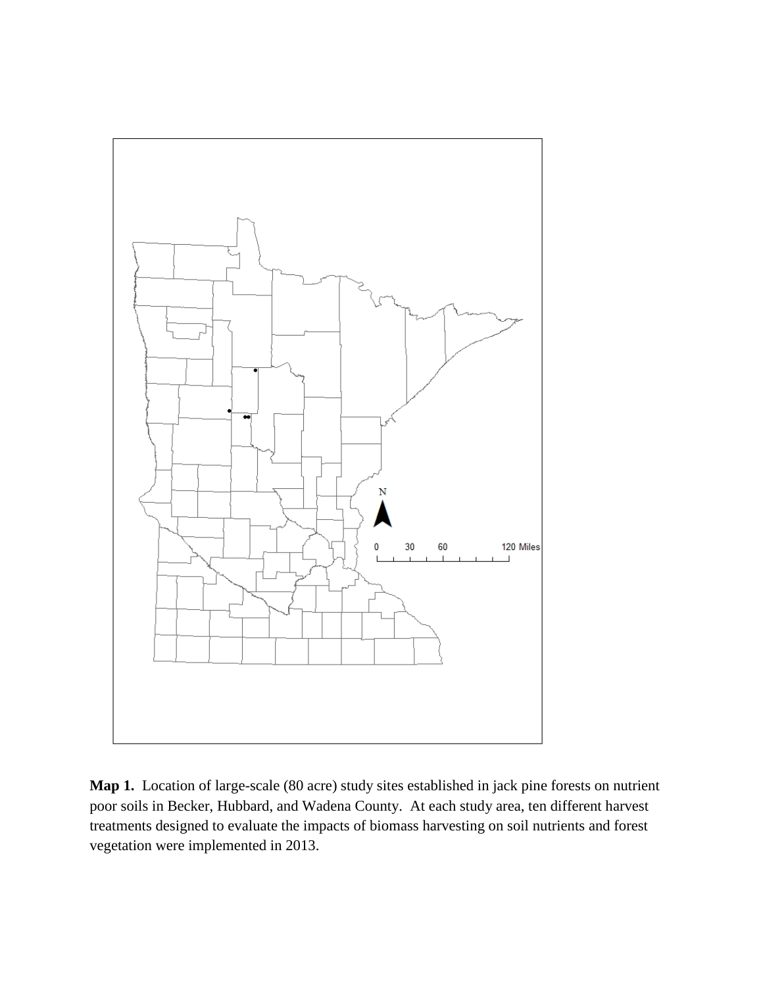

**Map 1.** Location of large-scale (80 acre) study sites established in jack pine forests on nutrient poor soils in Becker, Hubbard, and Wadena County. At each study area, ten different harvest treatments designed to evaluate the impacts of biomass harvesting on soil nutrients and forest vegetation were implemented in 2013.